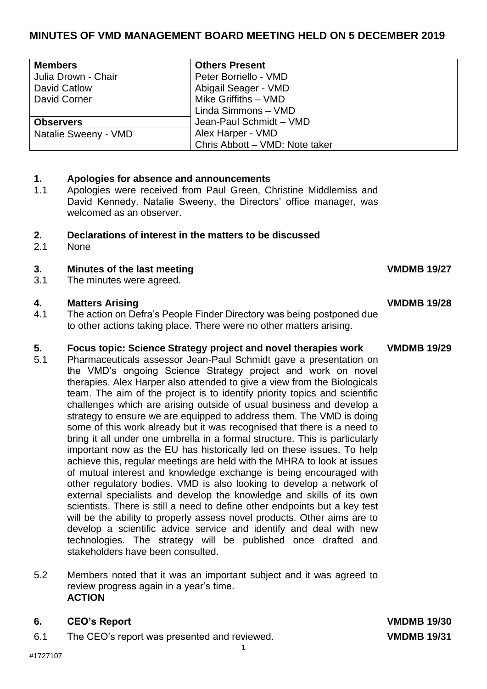# **MINUTES OF VMD MANAGEMENT BOARD MEETING HELD ON 5 DECEMBER 2019**

| <b>Members</b>       | <b>Others Present</b>          |
|----------------------|--------------------------------|
| Julia Drown - Chair  | Peter Borriello - VMD          |
| David Catlow         | Abigail Seager - VMD           |
| <b>David Corner</b>  | Mike Griffiths - VMD           |
|                      | Linda Simmons - VMD            |
| <b>Observers</b>     | Jean-Paul Schmidt - VMD        |
| Natalie Sweeny - VMD | Alex Harper - VMD              |
|                      | Chris Abbott - VMD: Note taker |

# **1. Apologies for absence and announcements**

1.1 Apologies were received from Paul Green, Christine Middlemiss and David Kennedy. Natalie Sweeny, the Directors' office manager, was welcomed as an observer.

### **2. Declarations of interest in the matters to be discussed**

2.1 None

# **3.** Minutes of the last meeting **VMDMB** 19/27

3.1 The minutes were agreed.

### **4. Matters Arising VMDMB 19/28**

4.1 The action on Defra's People Finder Directory was being postponed due to other actions taking place. There were no other matters arising.

## **5. Focus topic: Science Strategy project and novel therapies work VMDMB 19/29**

5.1 Pharmaceuticals assessor Jean-Paul Schmidt gave a presentation on the VMD's ongoing Science Strategy project and work on novel therapies. Alex Harper also attended to give a view from the Biologicals team. The aim of the project is to identify priority topics and scientific challenges which are arising outside of usual business and develop a strategy to ensure we are equipped to address them. The VMD is doing some of this work already but it was recognised that there is a need to bring it all under one umbrella in a formal structure. This is particularly important now as the EU has historically led on these issues. To help achieve this, regular meetings are held with the MHRA to look at issues of mutual interest and knowledge exchange is being encouraged with other regulatory bodies. VMD is also looking to develop a network of external specialists and develop the knowledge and skills of its own scientists. There is still a need to define other endpoints but a key test will be the ability to properly assess novel products. Other aims are to develop a scientific advice service and identify and deal with new technologies. The strategy will be published once drafted and stakeholders have been consulted.

# 5.2 Members noted that it was an important subject and it was agreed to review progress again in a year's time. **ACTION**

# **6. CEO's Report VMDMB 19/30**

6.1 The CEO's report was presented and reviewed. **VMDMB 19/31**